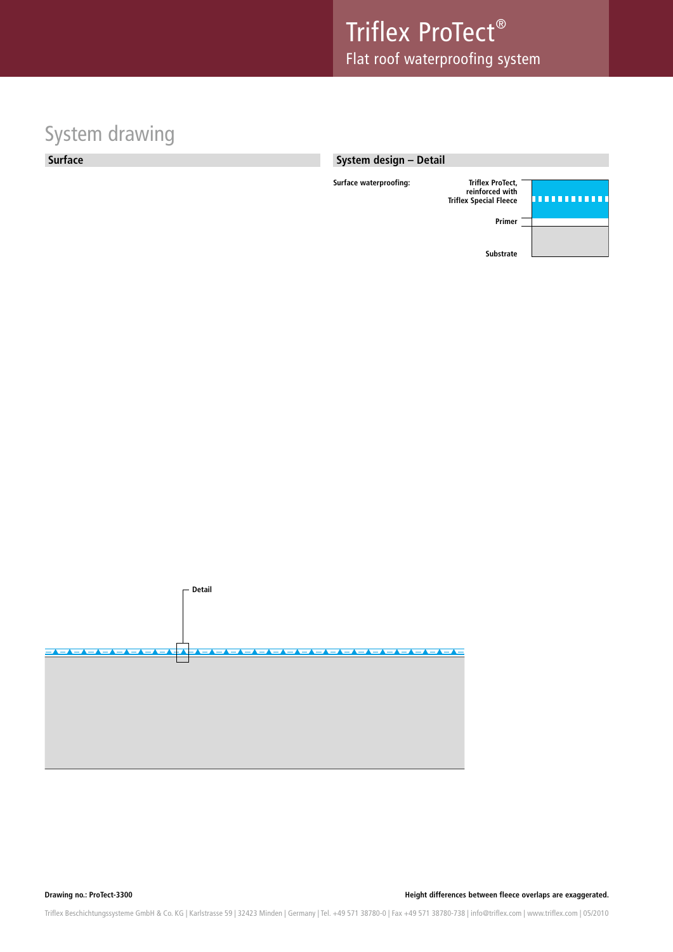## System drawing

**Surface**







**Drawing no.: ProTect-3300 Height differences between fleece overlaps are exaggerated.**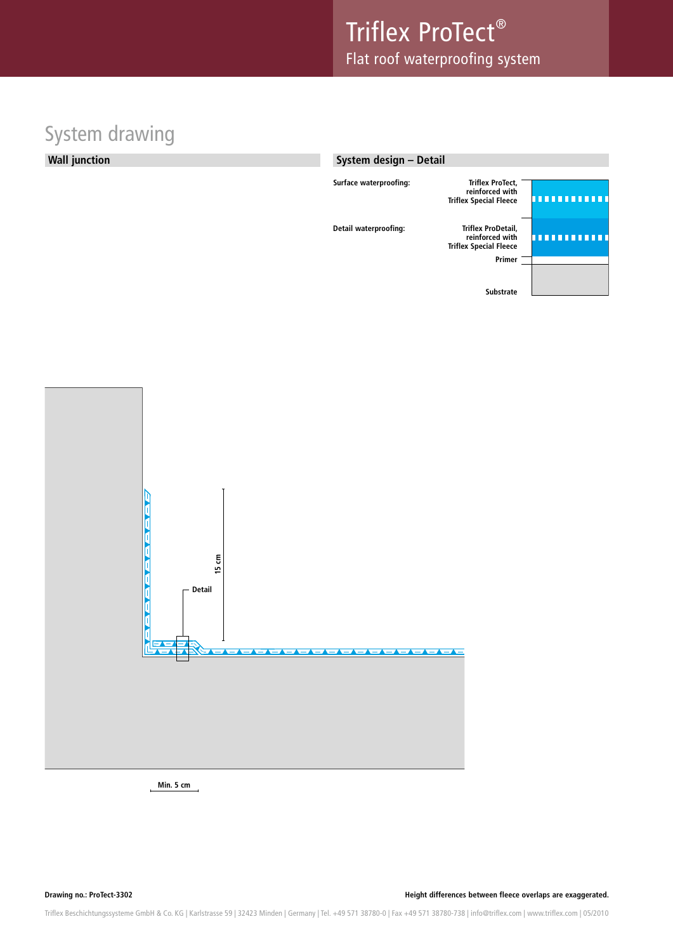## System drawing

### **Wall junction**

### **System design – Detail**

| Surface waterproofing: | <b>Triflex ProTect,</b><br>reinforced with<br><b>Triflex Special Fleece</b>      |  |
|------------------------|----------------------------------------------------------------------------------|--|
| Detail waterproofing:  | Triflex ProDetail,<br>reinforced with<br><b>Triflex Special Fleece</b><br>Primer |  |
|                        | <b>Substrate</b>                                                                 |  |



**Min. 5 cm**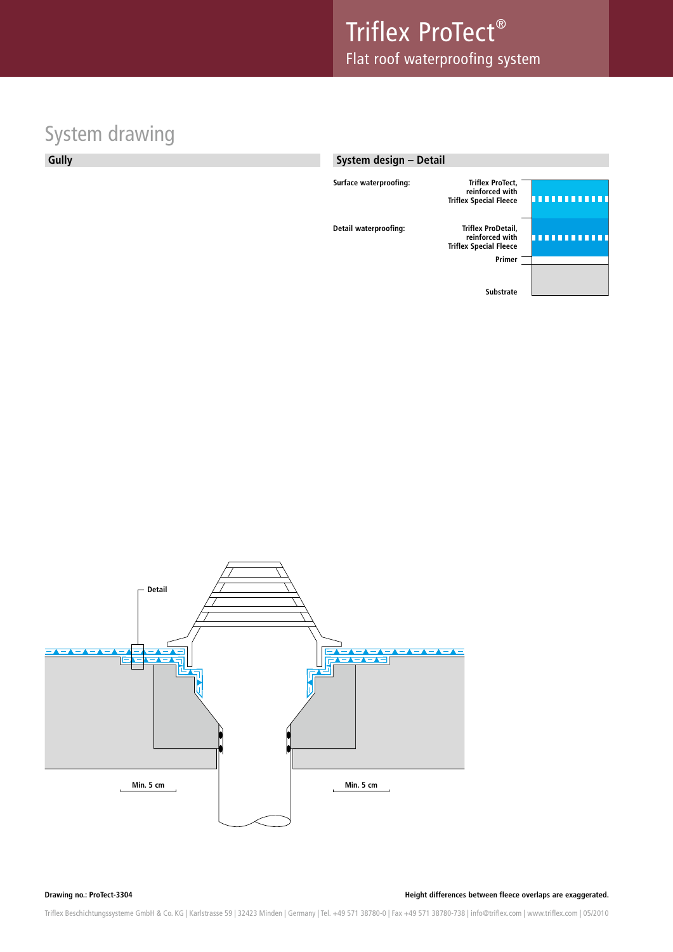# System drawing

**Gully**

### **System design – Detail**

| Surface waterproofing: | <b>Triflex ProTect,</b><br>reinforced with<br><b>Triflex Special Fleece</b>      |  |
|------------------------|----------------------------------------------------------------------------------|--|
| Detail waterproofing:  | Triflex ProDetail,<br>reinforced with<br><b>Triflex Special Fleece</b><br>Primer |  |
|                        | <b>Substrate</b>                                                                 |  |



**Drawing no.: ProTect-3304 Height differences between fleece overlaps are exaggerated.**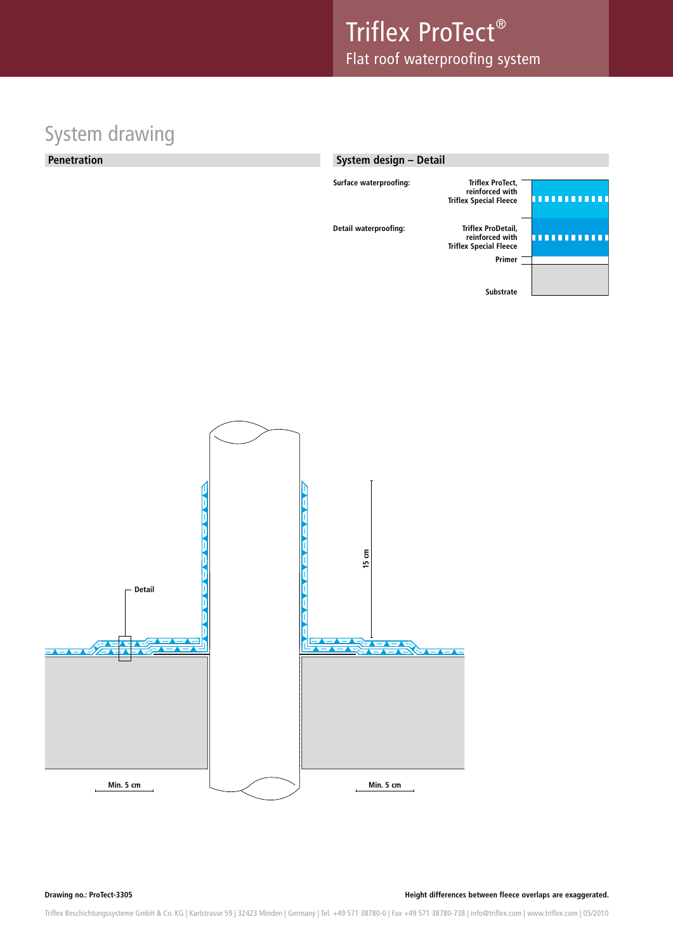## System drawing

### **Penetration**

### **System design – Detail**





**Drawing no.: ProTect-3305 Height differences between fleece overlaps are exaggerated.**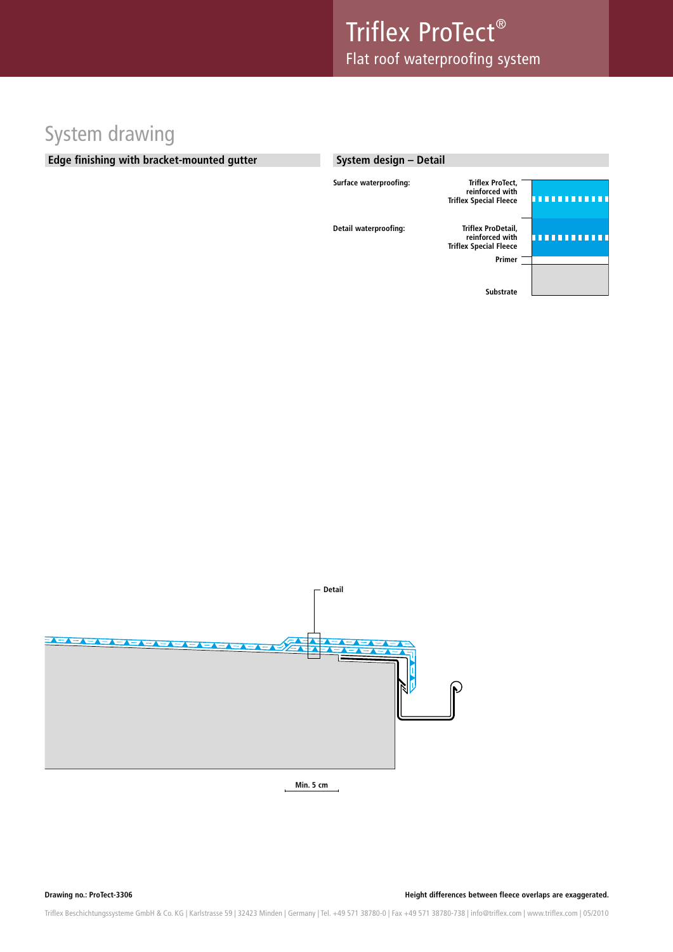## System drawing

### **Edge finishing with bracket-mounted gutter**

| System design - Detail |                                                                             |  |
|------------------------|-----------------------------------------------------------------------------|--|
| Surface waterproofing: | <b>Triflex ProTect,</b><br>reinforced with<br><b>Triflex Special Fleece</b> |  |
| Detail waterproofing:  | Triflex ProDetail,<br>reinforced with<br><b>Triflex Special Fleece</b>      |  |
|                        | Primer                                                                      |  |
|                        | <b>Substrate</b>                                                            |  |



**Min. 5 cm**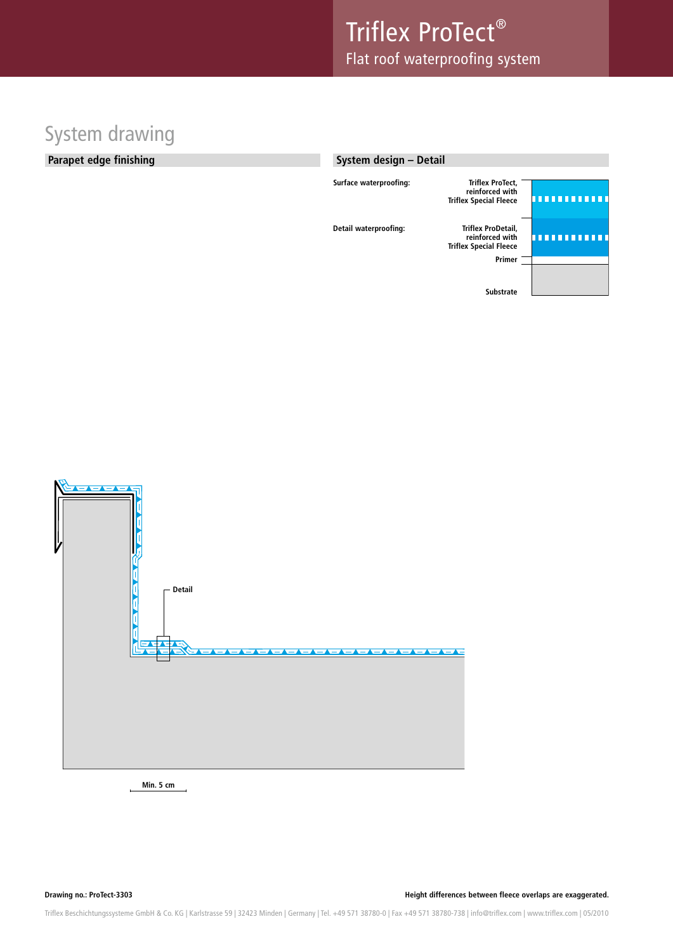## System drawing

### **Parapet edge finishing**

### **System design – Detail**

| Surface waterproofing: | <b>Triflex ProTect,</b><br>reinforced with<br><b>Triflex Special Fleece</b>      |  |
|------------------------|----------------------------------------------------------------------------------|--|
| Detail waterproofing:  | Triflex ProDetail,<br>reinforced with<br><b>Triflex Special Fleece</b><br>Primer |  |
|                        | <b>Substrate</b>                                                                 |  |



**Min. 5 cm**

**Drawing no.: ProTect-3303 Height differences between fleece overlaps are exaggerated.**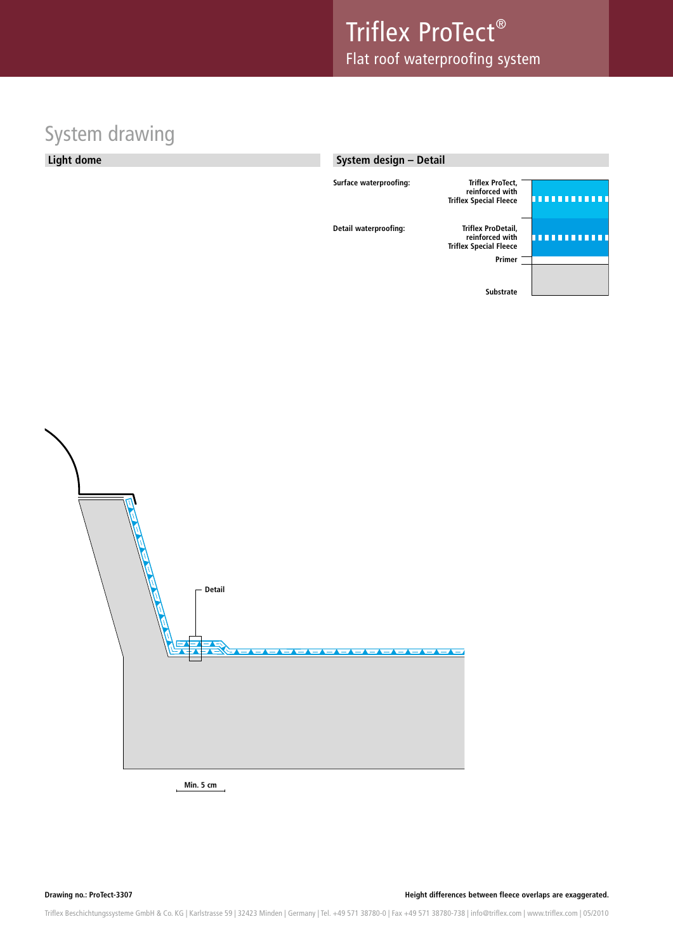# System drawing

### **Light dome**

### **System design – Detail**

| Surface waterproofing: | <b>Triflex ProTect,</b><br>reinforced with<br><b>Triflex Special Fleece</b>      |  |
|------------------------|----------------------------------------------------------------------------------|--|
| Detail waterproofing:  | Triflex ProDetail,<br>reinforced with<br><b>Triflex Special Fleece</b><br>Primer |  |
|                        | <b>Substrate</b>                                                                 |  |



**Min. 5 cm**